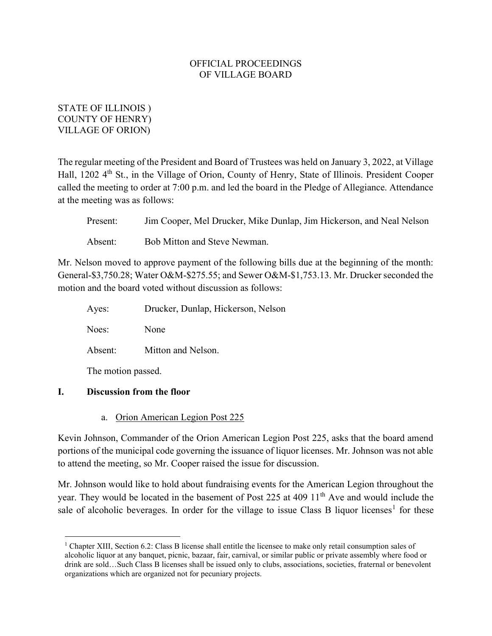# STATE OF ILLINOIS ) COUNTY OF HENRY) VILLAGE OF ORION)

The regular meeting of the President and Board of Trustees was held on January 3, 2022, at Village Hall, 1202 4<sup>th</sup> St., in the Village of Orion, County of Henry, State of Illinois. President Cooper called the meeting to order at 7:00 p.m. and led the board in the Pledge of Allegiance. Attendance at the meeting was as follows:

| Present: | Jim Cooper, Mel Drucker, Mike Dunlap, Jim Hickerson, and Neal Nelson |
|----------|----------------------------------------------------------------------|
| Absent:  | Bob Mitton and Steve Newman.                                         |

Mr. Nelson moved to approve payment of the following bills due at the beginning of the month: General-\$3,750.28; Water O&M-\$275.55; and Sewer O&M-\$1,753.13. Mr. Drucker seconded the motion and the board voted without discussion as follows:

| Ayes:              | Drucker, Dunlap, Hickerson, Nelson |
|--------------------|------------------------------------|
| Noes:              | None                               |
| Absent:            | Mitton and Nelson.                 |
| The motion passed. |                                    |

# I. Discussion from the floor

a. Orion American Legion Post 225

Kevin Johnson, Commander of the Orion American Legion Post 225, asks that the board amend portions of the municipal code governing the issuance of liquor licenses. Mr. Johnson was not able to attend the meeting, so Mr. Cooper raised the issue for discussion.

Mr. Johnson would like to hold about fundraising events for the American Legion throughout the year. They would be located in the basement of Post 225 at 409 11<sup>th</sup> Ave and would include the sale of alcoholic beverages. In order for the village to issue Class B liquor licenses<sup>1</sup> for these

<sup>&</sup>lt;sup>1</sup> Chapter XIII, Section 6.2: Class B license shall entitle the licensee to make only retail consumption sales of alcoholic liquor at any banquet, picnic, bazaar, fair, carnival, or similar public or private assembly where food or drink are sold…Such Class B licenses shall be issued only to clubs, associations, societies, fraternal or benevolent organizations which are organized not for pecuniary projects.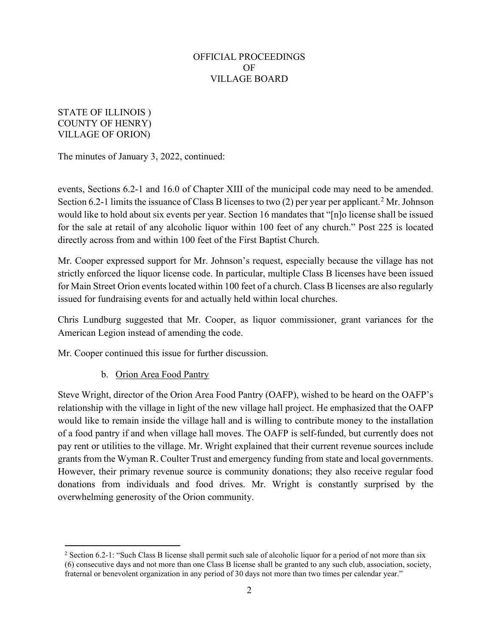## STATE OF ILLINOIS ) COUNTY OF HENRY) VILLAGE OF ORION)

The minutes of January 3, 2022, continued:

events, Sections 6.2-1 and 16.0 of Chapter XIII of the municipal code may need to be amended. Section 6.2-1 limits the issuance of Class B licenses to two  $(2)$  per year per applicant.<sup>2</sup> Mr. Johnson would like to hold about six events per year. Section 16 mandates that "[n]o license shall be issued for the sale at retail of any alcoholic liquor within 100 feet of any church." Post 225 is located directly across from and within 100 feet of the First Baptist Church.

Mr. Cooper expressed support for Mr. Johnson's request, especially because the village has not strictly enforced the liquor license code. In particular, multiple Class B licenses have been issued for Main Street Orion events located within 100 feet of a church. Class B licenses are also regularly issued for fundraising events for and actually held within local churches.

Chris Lundburg suggested that Mr. Cooper, as liquor commissioner, grant variances for the American Legion instead of amending the code.

Mr. Cooper continued this issue for further discussion.

# b. Orion Area Food Pantry

Steve Wright, director of the Orion Area Food Pantry (OAFP), wished to be heard on the OAFP's relationship with the village in light of the new village hall project. He emphasized that the OAFP would like to remain inside the village hall and is willing to contribute money to the installation of a food pantry if and when village hall moves. The OAFP is self-funded, but currently does not pay rent or utilities to the village. Mr. Wright explained that their current revenue sources include grants from the Wyman R. Coulter Trust and emergency funding from state and local governments. However, their primary revenue source is community donations; they also receive regular food donations from individuals and food drives. Mr. Wright is constantly surprised by the overwhelming generosity of the Orion community.

<sup>&</sup>lt;sup>2</sup> Section 6.2-1: "Such Class B license shall permit such sale of alcoholic liquor for a period of not more than six (6) consecutive days and not more than one Class B license shall be granted to any such club, association, society, fraternal or benevolent organization in any period of 30 days not more than two times per calendar year."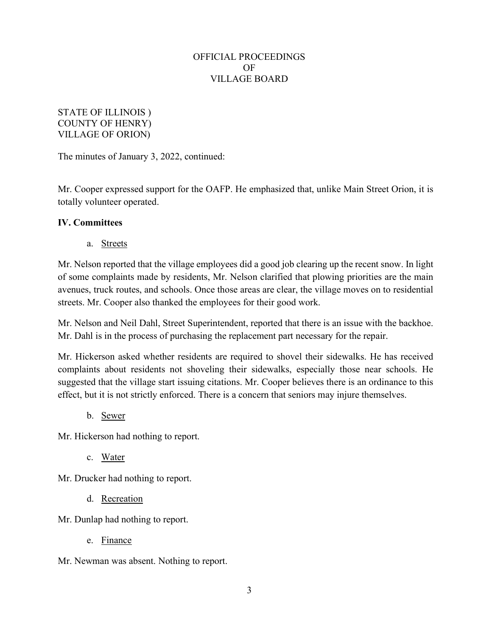## STATE OF ILLINOIS ) COUNTY OF HENRY) VILLAGE OF ORION)

The minutes of January 3, 2022, continued:

Mr. Cooper expressed support for the OAFP. He emphasized that, unlike Main Street Orion, it is totally volunteer operated.

# IV. Committees

a. Streets

Mr. Nelson reported that the village employees did a good job clearing up the recent snow. In light of some complaints made by residents, Mr. Nelson clarified that plowing priorities are the main avenues, truck routes, and schools. Once those areas are clear, the village moves on to residential streets. Mr. Cooper also thanked the employees for their good work.

Mr. Nelson and Neil Dahl, Street Superintendent, reported that there is an issue with the backhoe. Mr. Dahl is in the process of purchasing the replacement part necessary for the repair.

Mr. Hickerson asked whether residents are required to shovel their sidewalks. He has received complaints about residents not shoveling their sidewalks, especially those near schools. He suggested that the village start issuing citations. Mr. Cooper believes there is an ordinance to this effect, but it is not strictly enforced. There is a concern that seniors may injure themselves.

b. Sewer

Mr. Hickerson had nothing to report.

c. Water

Mr. Drucker had nothing to report.

d. Recreation

Mr. Dunlap had nothing to report.

e. Finance

Mr. Newman was absent. Nothing to report.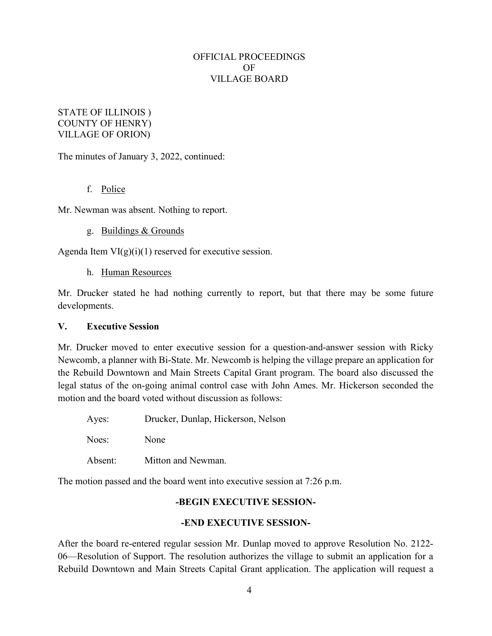## STATE OF ILLINOIS ) COUNTY OF HENRY) VILLAGE OF ORION)

The minutes of January 3, 2022, continued:

### f. Police

Mr. Newman was absent. Nothing to report.

#### g. Buildings & Grounds

Agenda Item  $VI(g)(i)(1)$  reserved for executive session.

h. Human Resources

Mr. Drucker stated he had nothing currently to report, but that there may be some future developments.

#### V. Executive Session

Mr. Drucker moved to enter executive session for a question-and-answer session with Ricky Newcomb, a planner with Bi-State. Mr. Newcomb is helping the village prepare an application for the Rebuild Downtown and Main Streets Capital Grant program. The board also discussed the legal status of the on-going animal control case with John Ames. Mr. Hickerson seconded the motion and the board voted without discussion as follows:

| Ayes:   | Drucker, Dunlap, Hickerson, Nelson |
|---------|------------------------------------|
| Noes:   | None                               |
| Absent: | Mitton and Newman.                 |

The motion passed and the board went into executive session at 7:26 p.m.

#### -BEGIN EXECUTIVE SESSION-

#### -END EXECUTIVE SESSION-

After the board re-entered regular session Mr. Dunlap moved to approve Resolution No. 2122- 06—Resolution of Support. The resolution authorizes the village to submit an application for a Rebuild Downtown and Main Streets Capital Grant application. The application will request a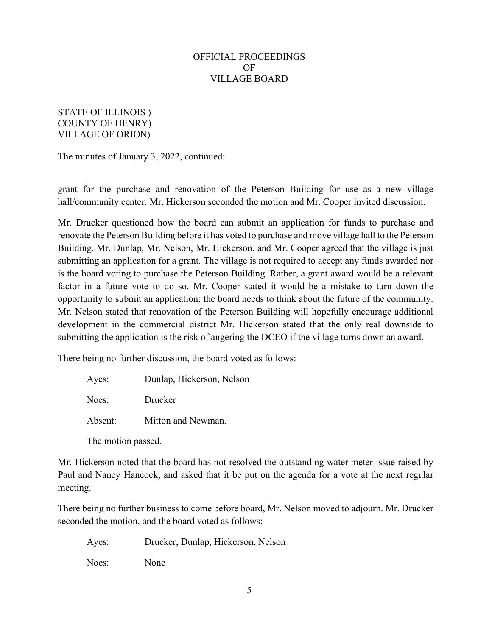## STATE OF ILLINOIS ) COUNTY OF HENRY) VILLAGE OF ORION)

The minutes of January 3, 2022, continued:

grant for the purchase and renovation of the Peterson Building for use as a new village hall/community center. Mr. Hickerson seconded the motion and Mr. Cooper invited discussion.

Mr. Drucker questioned how the board can submit an application for funds to purchase and renovate the Peterson Building before it has voted to purchase and move village hall to the Peterson Building. Mr. Dunlap, Mr. Nelson, Mr. Hickerson, and Mr. Cooper agreed that the village is just submitting an application for a grant. The village is not required to accept any funds awarded nor is the board voting to purchase the Peterson Building. Rather, a grant award would be a relevant factor in a future vote to do so. Mr. Cooper stated it would be a mistake to turn down the opportunity to submit an application; the board needs to think about the future of the community. Mr. Nelson stated that renovation of the Peterson Building will hopefully encourage additional development in the commercial district Mr. Hickerson stated that the only real downside to submitting the application is the risk of angering the DCEO if the village turns down an award.

There being no further discussion, the board voted as follows:

| Ayes:   | Dunlap, Hickerson, Nelson |
|---------|---------------------------|
| Noes:   | Drucker                   |
| Absent: | Mitton and Newman.        |

The motion passed.

Mr. Hickerson noted that the board has not resolved the outstanding water meter issue raised by Paul and Nancy Hancock, and asked that it be put on the agenda for a vote at the next regular meeting.

There being no further business to come before board, Mr. Nelson moved to adjourn. Mr. Drucker seconded the motion, and the board voted as follows:

Ayes: Drucker, Dunlap, Hickerson, Nelson

Noes: None